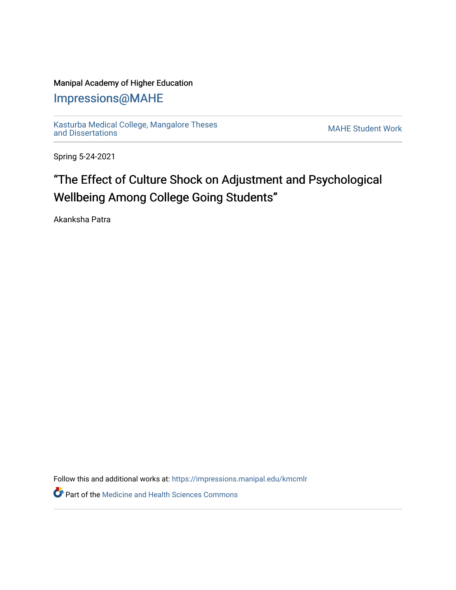### Manipal Academy of Higher Education

## [Impressions@MAHE](https://impressions.manipal.edu/)

[Kasturba Medical College, Mangalore Theses](https://impressions.manipal.edu/kmcmlr) Kasturba Medical College, Mangalore Theses<br>[and Dissertations](https://impressions.manipal.edu/kmcmlr) MAHE Student Work

Spring 5-24-2021

# "The Effect of Culture Shock on Adjustment and Psychological Wellbeing Among College Going Students"

Akanksha Patra

Follow this and additional works at: [https://impressions.manipal.edu/kmcmlr](https://impressions.manipal.edu/kmcmlr?utm_source=impressions.manipal.edu%2Fkmcmlr%2F196&utm_medium=PDF&utm_campaign=PDFCoverPages) 

**Part of the Medicine and Health Sciences Commons**